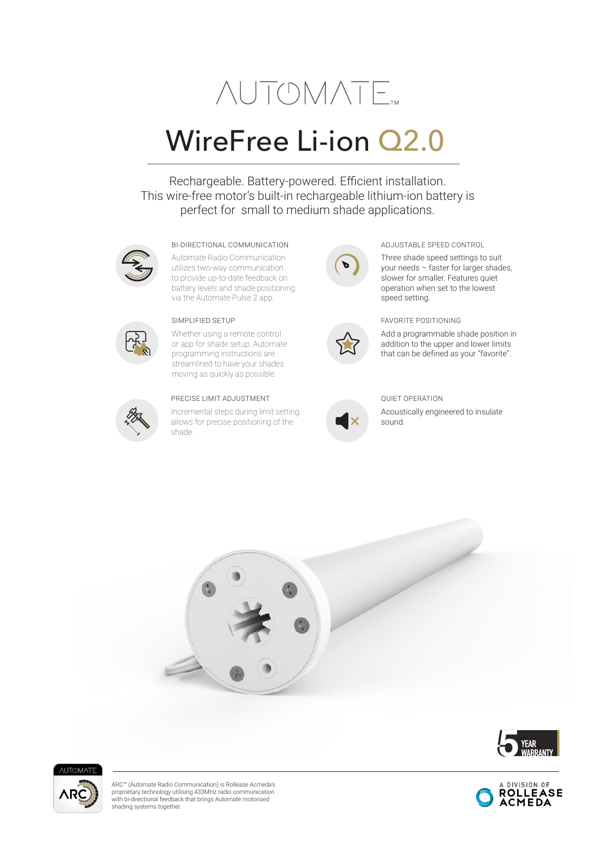# **NUTOMATE**

## WireFree Li-ion Q2.0

Rechargeable. Battery-powered. Efficient installation. This wire-free motor's built-in rechargeable lithium-ion battery is perfect for small to medium shade applications.



#### BI-DIRECTIONAL COMMUNICATION ADJUSTABLE SPEED CONTROL

Automate Radio Communication utilizes two-way communication to provide up-to-date feedback on battery levels and shade positioning via the Automate Pulse 2 app.



Whether using a remote control or app for shade setup, Automate programming instructions are streamlined to have your shades moving as quickly as possible.



#### PRECISE LIMIT ADJUSTMENT

Incremental steps during limit setting allows for precise positioning of the shade.





Three shade speed settings to suit your needs – faster for larger shades, slower for smaller. Features quiet operation when set to the lowest speed setting.

#### SIMPLIFIED SETUP FAVORITE POSITIONING

Add a programmable shade position in addition to the upper and lower limits that can be defined as your "favorite".



### QUIET OPERATION

Acoustically engineered to insulate sound.







ARC™ (Automate Radio Communication) is Rollease Acmeda's proprietary technology utilising 433MHz radio communication with bi-directional feedback that brings Automate motorised shading systems together.